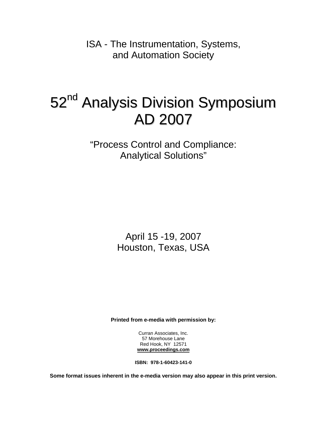ISA - The Instrumentation, Systems, and Automation Society

## 52<sup>nd</sup> Analysis Division Symposium AD 2007

"Process Control and Compliance: Analytical Solutions"

> April 15 -19, 2007 Houston, Texas, USA

**Printed from e-media with permission by:** 

Curran Associates, Inc. 57 Morehouse Lane Red Hook, NY 12571 **[www.proceedings.com](http://www.proceedings.com/)**

**ISBN: 978-1-60423-141-0** 

**Some format issues inherent in the e-media version may also appear in this print version.**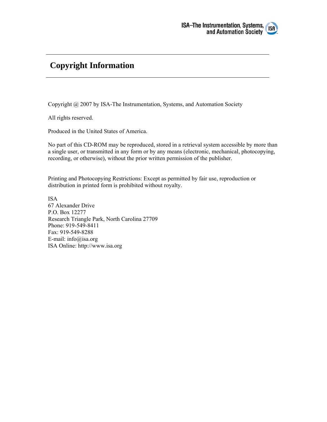

## **Copyright Information**

Copyright @ 2007 by ISA-The Instrumentation, Systems, and Automation Society

All rights reserved.

Produced in the United States of America.

No part of this CD-ROM may be reproduced, stored in a retrieval system accessible by more than a single user, or transmitted in any form or by any means (electronic, mechanical, photocopying, recording, or otherwise), without the prior written permission of the publisher.

Printing and Photocopying Restrictions: Except as permitted by fair use, reproduction or distribution in printed form is prohibited without royalty.

ISA 67 Alexander Drive P.O. Box 12277 Research Triangle Park, North Carolina 27709 Phone: 919-549-8411 Fax: 919-549-8288 E-mail: info@isa.org ISA Online: http://www.isa.org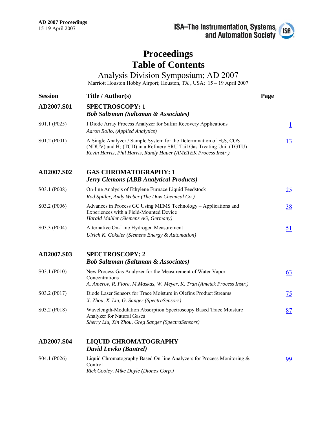## **Proceedings Table of Contents**

Analysis Division Symposium; AD 2007

Marriott Houston Hobby Airport; Houston, TX , USA; 15 – 19 April 2007

| <b>Session</b> | Title / Author(s)                                                                                                                                                                                                            | Page      |
|----------------|------------------------------------------------------------------------------------------------------------------------------------------------------------------------------------------------------------------------------|-----------|
| AD2007.S01     | <b>SPECTROSCOPY: 1</b><br><b>Bob Saltzman (Saltzman &amp; Associates)</b>                                                                                                                                                    |           |
| S01.1 (P025)   | I Diode Array Process Analyzer for Sulfur Recovery Applications<br>Aaron Rollo, (Applied Analytics)                                                                                                                          | $\perp$   |
| S01.2 (P001)   | A Single Analyzer / Sample System for the Determination of $H_2S$ , COS<br>(NDUV) and H <sub>2</sub> (TCD) in a Refinery SRU Tail Gas Treating Unit (TGTU)<br>Kevin Harris, Phil Harris, Randy Hauer (AMETEK Process Instr.) | 13        |
| AD2007.S02     | <b>GAS CHROMATOGRAPHY: 1</b><br><b>Jerry Clemons (ABB Analytical Products)</b>                                                                                                                                               |           |
| S03.1 (P008)   | On-line Analysis of Ethylene Furnace Liquid Feedstock<br>Rod Spitler, Andy Weber (The Dow Chemical Co.)                                                                                                                      | <u>25</u> |
| S03.2 (P006)   | Advances in Process GC Using MEMS Technology – Applications and<br>Experiences with a Field-Mounted Device<br>Harald Mahler (Siemens AG, Germany)                                                                            | 38        |
| S03.3 (P004)   | Alternative On-Line Hydrogen Measurement<br>Ulrich K. Gokeler (Siemens Energy & Automation)                                                                                                                                  | <u>51</u> |
| AD2007.S03     | <b>SPECTROSCOPY: 2</b><br><b>Bob Saltzman (Saltzman &amp; Associates)</b>                                                                                                                                                    |           |
| S03.1 (P010)   | New Process Gas Analyzer for the Measurement of Water Vapor<br>Concentrations<br>A. Amerov, R. Fiore, M.Maskas, W. Meyer, K. Tran (Ametek Process Instr.)                                                                    | 63        |
| S03.2 (P017)   | Diode Laser Sensors for Trace Moisture in Olefins Product Streams<br>X. Zhou, X. Liu, G. Sanger (SpectraSensors)                                                                                                             | <u>75</u> |
| S03.2 (P018)   | Wavelength-Modulation Absorption Spectroscopy Based Trace Moisture<br>Analyzer for Natural Gases<br>Sherry Liu, Xin Zhou, Greg Sanger (SpectraSensors)                                                                       | 87        |
| AD2007.S04     | <b>LIQUID CHROMATOGRAPHY</b><br>David Lewko (Bantrel)                                                                                                                                                                        |           |
| S04.1 (P026)   | Liquid Chromatography Based On-line Analyzers for Process Monitoring &<br>Control<br>Rick Cooley, Mike Doyle (Dionex Corp.)                                                                                                  | 99        |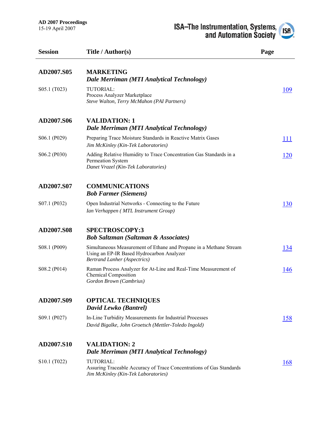| <b>Session</b>                        | Title / Author(s)                                                                                                                                      | Page |
|---------------------------------------|--------------------------------------------------------------------------------------------------------------------------------------------------------|------|
| AD2007.S05                            | <b>MARKETING</b><br>Dale Merriman (MTI Analytical Technology)                                                                                          |      |
| S05.1 (T023)                          | TUTORIAL:<br>Process Analyzer Marketplace<br>Steve Walton, Terry McMahon (PAI Partners)                                                                | 109  |
| AD2007.S06                            | <b>VALIDATION: 1</b><br>Dale Merriman (MTI Analytical Technology)                                                                                      |      |
| S06.1 (P029)                          | Preparing Trace Moisture Standards in Reactive Matrix Gases<br>Jim McKinley (Kin-Tek Laboratories)                                                     | 111  |
| S06.2 (P030)                          | Adding Relative Humidity to Trace Concentration Gas Standards in a<br>Permeation System<br>Danet Vrazel (Kin-Tek Laboratories)                         | 120  |
| AD2007.S07                            | <b>COMMUNICATIONS</b><br><b>Bob Farmer (Siemens)</b>                                                                                                   |      |
| S07.1 (P032)                          | Open Industrial Networks - Connecting to the Future<br>Ian Verhappen (MTL Instrument Group)                                                            | 130  |
| AD2007.S08                            | <b>SPECTROSCOPY:3</b><br><b>Bob Saltzman (Saltzman &amp; Associates)</b>                                                                               |      |
| S08.1 (P009)                          | Simultaneous Measurement of Ethane and Propane in a Methane Stream<br>Using an EP-IR Based Hydrocarbon Analyzer<br><b>Bertrand Lanher (Aspectrics)</b> | 134  |
| S08.2 (P014)                          | Raman Process Analyzer for At-Line and Real-Time Measurement of<br><b>Chemical Composition</b><br>Gordon Brown (Cambrius)                              | 146  |
| AD2007.S09                            | <b>OPTICAL TECHNIQUES</b><br>David Lewko (Bantrel)                                                                                                     |      |
| S09.1 (P027)                          | In-Line Turbidity Measurements for Industrial Processes<br>David Bigalke, John Groetsch (Mettler-Toledo Ingold)                                        | 158  |
| AD2007.S10                            | <b>VALIDATION: 2</b><br>Dale Merriman (MTI Analytical Technology)                                                                                      |      |
| S <sub>10.1</sub> (T <sub>022</sub> ) | TUTORIAL:<br>Assuring Traceable Accuracy of Trace Concentrations of Gas Standards<br>Jim McKinley (Kin-Tek Laboratories)                               | 168  |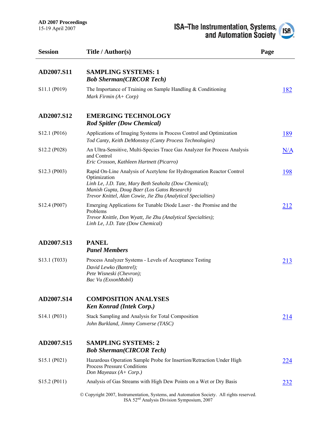

| <b>Session</b>                        | Title / Author(s)                                                                                                                                                                                                                                               | Page        |
|---------------------------------------|-----------------------------------------------------------------------------------------------------------------------------------------------------------------------------------------------------------------------------------------------------------------|-------------|
| AD2007.S11                            | <b>SAMPLING SYSTEMS: 1</b><br><b>Bob Sherman(CIRCOR Tech)</b>                                                                                                                                                                                                   |             |
| S11.1 (P019)                          | The Importance of Training on Sample Handling & Conditioning<br>Mark Firmin $(A + Corp)$                                                                                                                                                                        | 182         |
| AD2007.S12                            | <b>EMERGING TECHNOLOGY</b><br><b>Rod Spitler (Dow Chemical)</b>                                                                                                                                                                                                 |             |
| S12.1 (P016)                          | Applications of Imaging Systems in Process Control and Optimization<br>Tod Canty, Keith DeMonstoy (Canty Process Technologies)                                                                                                                                  | <u> 189</u> |
| S12.2 (P028)                          | An Ultra-Sensitive, Multi-Species Trace Gas Analyzer for Process Analysis<br>and Control<br>Eric Crosson, Kathleen Hartnett (Picarro)                                                                                                                           | N/A         |
| S12.3 (P003)                          | Rapid On-Line Analysis of Acetylene for Hydrogenation Reactor Control<br>Optimization<br>Linh Le, J.D. Tate, Mary Beth Seaholtz (Dow Chemical);<br>Manish Gupta, Doug Baer (Los Gatos Research)<br>Trevor Knittel, Alan Cowie, Jie Zhu (Analytical Specialties) | <u> 198</u> |
| S12.4 (P007)                          | Emerging Applications for Tunable Diode Laser - the Promise and the<br>Problems<br>Trevor Knittle, Don Wyatt, Jie Zhu (Analytical Specialties);<br>Linh Le, J.D. Tate (Dow Chemical)                                                                            | 212         |
| AD2007.S13                            | <b>PANEL</b><br><b>Panel Members</b>                                                                                                                                                                                                                            |             |
| S13.1 (T033)                          | Process Analyzer Systems - Levels of Acceptance Testing<br>David Lewko (Bantrel);<br>Pete Wisneski (Chevron);<br>Bac Vu (ExxonMobil)                                                                                                                            | 213         |
| AD2007.S14                            | <b>COMPOSITION ANALYSES</b><br><b>Ken Konrad (Intek Corp.)</b>                                                                                                                                                                                                  |             |
| S14.1 (P031)                          | Stack Sampling and Analysis for Total Composition<br>John Burkland, Jimmy Converse (TASC)                                                                                                                                                                       | 214         |
| AD2007.S15                            | <b>SAMPLING SYSTEMS: 2</b><br><b>Bob Sherman(CIRCOR Tech)</b>                                                                                                                                                                                                   |             |
| S15.1 (P021)                          | Hazardous Operation Sample Probe for Insertion/Retraction Under High<br><b>Process Pressure Conditions</b><br>Don Mayeaux (A+ Corp.)                                                                                                                            | 224         |
| S <sub>15.2</sub> (P <sub>011</sub> ) | Analysis of Gas Streams with High Dew Points on a Wet or Dry Basis                                                                                                                                                                                              | <u>232</u>  |
|                                       | © Copyright 2007, Instrumentation, Systems, and Automation Society. All rights reserved.<br>ISA 52 <sup>nd</sup> Analysis Division Symposium, 2007                                                                                                              |             |